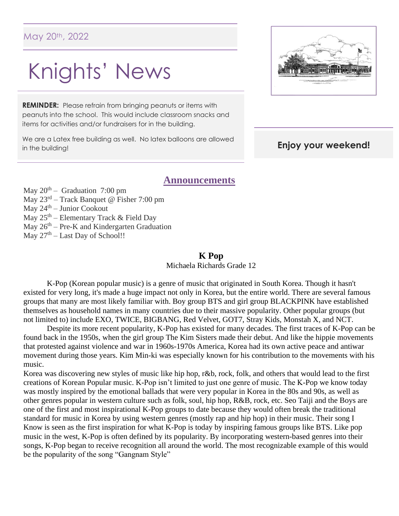# Knights' News

**REMINDER:** Please refrain from bringing peanuts or items with peanuts into the school. This would include classroom snacks and items for activities and/or fundraisers for in the building.

We are a Latex free building as well. No latex balloons are allowed in the building!



#### **Enjoy your weekend!**

#### **Announcements**

May  $20^{th}$  – Graduation 7:00 pm

May 23<sup>rd</sup> – Track Banquet @ Fisher 7:00 pm

May 24th – Junior Cookout

- May 25<sup>th</sup> Elementary Track & Field Day
- May 26<sup>th</sup> Pre-K and Kindergarten Graduation
- May  $27<sup>th</sup> Last Day of School!!$

#### **K Pop**

Michaela Richards Grade 12

K-Pop (Korean popular music) is a genre of music that originated in South Korea. Though it hasn't existed for very long, it's made a huge impact not only in Korea, but the entire world. There are several famous groups that many are most likely familiar with. Boy group BTS and girl group BLACKPINK have established themselves as household names in many countries due to their massive popularity. Other popular groups (but not limited to) include EXO, TWICE, BIGBANG, Red Velvet, GOT7, Stray Kids, Monstah X, and NCT.

Despite its more recent popularity, K-Pop has existed for many decades. The first traces of K-Pop can be found back in the 1950s, when the girl group The Kim Sisters made their debut. And like the hippie movements that protested against violence and war in 1960s-1970s America, Korea had its own active peace and antiwar movement during those years. Kim Min-ki was especially known for his contribution to the movements with his music.

Korea was discovering new styles of music like hip hop, r&b, rock, folk, and others that would lead to the first creations of Korean Popular music. K-Pop isn't limited to just one genre of music. The K-Pop we know today was mostly inspired by the emotional ballads that were very popular in Korea in the 80s and 90s, as well as other genres popular in western culture such as folk, soul, hip hop, R&B, rock, etc. Seo Taiji and the Boys are one of the first and most inspirational K-Pop groups to date because they would often break the traditional standard for music in Korea by using western genres (mostly rap and hip hop) in their music. Their song I Know is seen as the first inspiration for what K-Pop is today by inspiring famous groups like BTS. Like pop music in the west, K-Pop is often defined by its popularity. By incorporating western-based genres into their songs, K-Pop began to receive recognition all around the world. The most recognizable example of this would be the popularity of the song "Gangnam Style"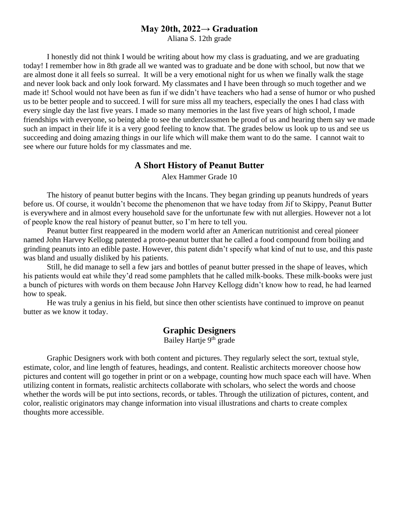#### **May 20th, 2022→ Graduation**

Aliana S. 12th grade

I honestly did not think I would be writing about how my class is graduating, and we are graduating today! I remember how in 8th grade all we wanted was to graduate and be done with school, but now that we are almost done it all feels so surreal. It will be a very emotional night for us when we finally walk the stage and never look back and only look forward. My classmates and I have been through so much together and we made it! School would not have been as fun if we didn't have teachers who had a sense of humor or who pushed us to be better people and to succeed. I will for sure miss all my teachers, especially the ones I had class with every single day the last five years. I made so many memories in the last five years of high school, I made friendships with everyone, so being able to see the underclassmen be proud of us and hearing them say we made such an impact in their life it is a very good feeling to know that. The grades below us look up to us and see us succeeding and doing amazing things in our life which will make them want to do the same. I cannot wait to see where our future holds for my classmates and me.

#### **A Short History of Peanut Butter**

Alex Hammer Grade 10

The history of peanut butter begins with the Incans. They began grinding up peanuts hundreds of years before us. Of course, it wouldn't become the phenomenon that we have today from Jif to Skippy, Peanut Butter is everywhere and in almost every household save for the unfortunate few with nut allergies. However not a lot of people know the real history of peanut butter, so I'm here to tell you.

Peanut butter first reappeared in the modern world after an American nutritionist and cereal pioneer named John Harvey Kellogg patented a proto-peanut butter that he called a food compound from boiling and grinding peanuts into an edible paste. However, this patent didn't specify what kind of nut to use, and this paste was bland and usually disliked by his patients.

Still, he did manage to sell a few jars and bottles of peanut butter pressed in the shape of leaves, which his patients would eat while they'd read some pamphlets that he called milk-books. These milk-books were just a bunch of pictures with words on them because John Harvey Kellogg didn't know how to read, he had learned how to speak.

He was truly a genius in his field, but since then other scientists have continued to improve on peanut butter as we know it today.

#### **Graphic Designers**

Bailey Hartje 9<sup>th</sup> grade

Graphic Designers work with both content and pictures. They regularly select the sort, textual style, estimate, color, and line length of features, headings, and content. Realistic architects moreover choose how pictures and content will go together in print or on a webpage, counting how much space each will have. When utilizing content in formats, realistic architects collaborate with scholars, who select the words and choose whether the words will be put into sections, records, or tables. Through the utilization of pictures, content, and color, realistic originators may change information into visual illustrations and charts to create complex thoughts more accessible.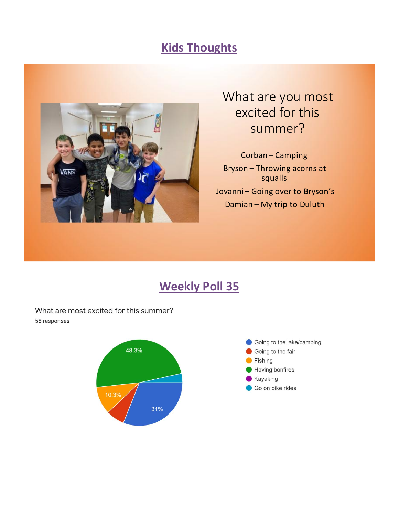### **Kids Thoughts**



# What are you most excited for this summer?

Corban-Camping Bryson - Throwing acorns at squalls Jovanni-Going over to Bryson's Damian - My trip to Duluth

## **Weekly Poll 35**

What are most excited for this summer? 58 responses